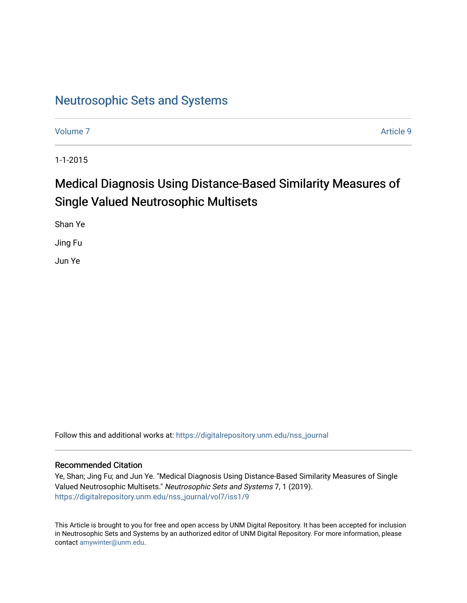# [Neutrosophic Sets and Systems](https://digitalrepository.unm.edu/nss_journal)

[Volume 7](https://digitalrepository.unm.edu/nss_journal/vol7) Article 9

1-1-2015

# Medical Diagnosis Using Distance-Based Similarity Measures of Single Valued Neutrosophic Multisets

Shan Ye

Jing Fu

Jun Ye

Follow this and additional works at: [https://digitalrepository.unm.edu/nss\\_journal](https://digitalrepository.unm.edu/nss_journal?utm_source=digitalrepository.unm.edu%2Fnss_journal%2Fvol7%2Fiss1%2F9&utm_medium=PDF&utm_campaign=PDFCoverPages) 

# Recommended Citation

Ye, Shan; Jing Fu; and Jun Ye. "Medical Diagnosis Using Distance-Based Similarity Measures of Single Valued Neutrosophic Multisets." Neutrosophic Sets and Systems 7, 1 (2019). [https://digitalrepository.unm.edu/nss\\_journal/vol7/iss1/9](https://digitalrepository.unm.edu/nss_journal/vol7/iss1/9?utm_source=digitalrepository.unm.edu%2Fnss_journal%2Fvol7%2Fiss1%2F9&utm_medium=PDF&utm_campaign=PDFCoverPages) 

This Article is brought to you for free and open access by UNM Digital Repository. It has been accepted for inclusion in Neutrosophic Sets and Systems by an authorized editor of UNM Digital Repository. For more information, please contact [amywinter@unm.edu](mailto:amywinter@unm.edu).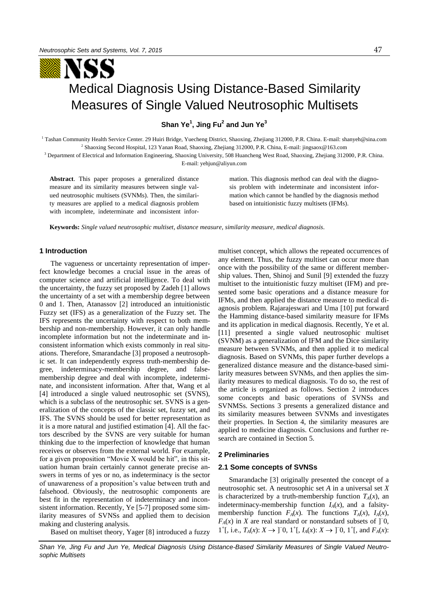

# NSS Medical Diagnosis Using Distance-Based Similarity Measures of Single Valued Neutrosophic Multisets

**Shan Ye<sup>1</sup> , Jing Fu<sup>2</sup> and Jun Ye<sup>3</sup>**

1 Tashan Community Health Service Center. 29 Huiri Bridge, Yuecheng District, Shaoxing, Zhejiang 312000, P.R. China. E-mail: shanyeh@sina.com 2 Shaoxing Second Hospital, 123 Yanan Road, Shaoxing, Zhejiang 312000, P.R. China, E-mail: jingsaox@163.com

<sup>3</sup> Department of Electrical and Information Engineering, Shaoxing University, 508 Huancheng West Road, Shaoxing, Zhejiang 312000, P.R. China. E-mail: yehjun@aliyun.com

**Abstract**. This paper proposes a generalized distance measure and its similarity measures between single valued neutrosophic multisets (SVNMs). Then, the similarity measures are applied to a medical diagnosis problem with incomplete, indeterminate and inconsistent information. This diagnosis method can deal with the diagnosis problem with indeterminate and inconsistent information which cannot be handled by the diagnosis method based on intuitionistic fuzzy multisets (IFMs).

**Keywords:** *Single valued neutrosophic multiset, distance measure, similarity measure, medical diagnosis*.

# **1 Introduction**

The vagueness or uncertainty representation of imperfect knowledge becomes a crucial issue in the areas of computer science and artificial intelligence. To deal with the uncertainty, the fuzzy set proposed by Zadeh [1] allows the uncertainty of a set with a membership degree between 0 and 1. Then, Atanassov [2] introduced an intuitionistic Fuzzy set (IFS) as a generalization of the Fuzzy set. The IFS represents the uncertainty with respect to both membership and non-membership. However, it can only handle incomplete information but not the indeterminate and inconsistent information which exists commonly in real situations. Therefore, Smarandache [3] proposed a neutrosophic set. It can independently express truth-membership degree, indeterminacy-membership degree, and falsemembership degree and deal with incomplete, indeterminate, and inconsistent information. After that, Wang et al [4] introduced a single valued neutrosophic set (SVNS), which is a subclass of the neutrosophic set. SVNS is a generalization of the concepts of the classic set, fuzzy set, and IFS. The SVNS should be used for better representation as it is a more natural and justified estimation [4]. All the factors described by the SVNS are very suitable for human thinking due to the imperfection of knowledge that human receives or observes from the external world. For example, for a given proposition "Movie X would be hit", in this situation human brain certainly cannot generate precise answers in terms of yes or no, as indeterminacy is the sector of unawareness of a proposition's value between truth and falsehood. Obviously, the neutrosophic components are best fit in the representation of indeterminacy and inconsistent information. Recently, Ye [5-7] proposed some similarity measures of SVNSs and applied them to decision making and clustering analysis.

Based on multiset theory, Yager [8] introduced a fuzzy

multiset concept, which allows the repeated occurrences of any element. Thus, the fuzzy multiset can occur more than once with the possibility of the same or different membership values. Then, Shinoj and Sunil [9] extended the fuzzy multiset to the intuitionistic fuzzy multiset (IFM) and presented some basic operations and a distance measure for IFMs, and then applied the distance measure to medical diagnosis problem. Rajarajeswari and Uma [10] put forward the Hamming distance-based similarity measure for IFMs and its application in medical diagnosis. Recently, Ye et al. [11] presented a single valued neutrosophic multiset (SVNM) as a generalization of IFM and the Dice similarity measure between SVNMs, and then applied it to medical diagnosis. Based on SVNMs, this paper further develops a generalized distance measure and the distance-based similarity measures between SVNMs, and then applies the similarity measures to medical diagnosis. To do so, the rest of the article is organized as follows. Section 2 introduces some concepts and basic operations of SVNSs and SVNMSs. Sections 3 presents a generalized distance and its similarity measures between SVNMs and investigates their properties. In Section 4, the similarity measures are applied to medicine diagnosis. Conclusions and further research are contained in Section 5.

## **2 Preliminaries**

## **2.1 Some concepts of SVNSs**

Smarandache [3] originally presented the concept of a neutrosophic set. A neutrosophic set *A* in a universal set *X* is characterized by a truth-membership function  $T_A(x)$ , an indeterminacy-membership function  $I_A(x)$ , and a falsitymembership function  $F_A(x)$ . The functions  $T_A(x)$ ,  $I_A(x)$ ,  $F_A(x)$  in *X* are real standard or nonstandard subsets of  $]$ <sup>-0</sup>,  $1^+$ [, i.e.,  $T_A(x)$ :  $X \to ]^-$ 0,  $1^+$ [,  $I_A(x)$ :  $X \to ]^-$ 0,  $1^+$ [, and  $F_A(x)$ :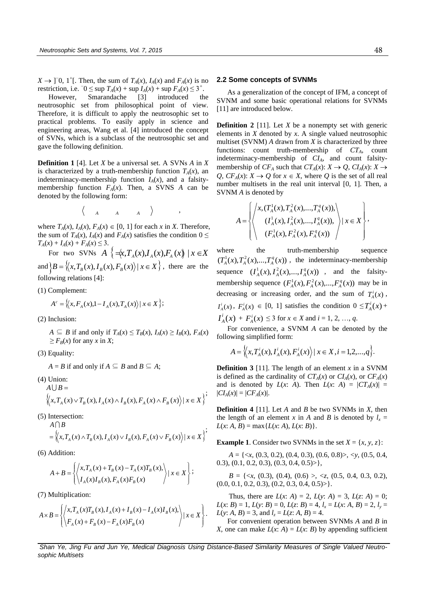$X \rightarrow \int$  <sup>1</sup>°<sub>0</sub>, 1<sup>+</sup><sub>[</sub>. Then, the sum of *T<sub>A</sub>*(*x*), *I<sub>A</sub>*(*x*) and *F<sub>A</sub>*(*x*) is no restriction, i.e.  $\bar{0}$  ≤ sup  $T_A(x)$  + sup  $I_A(x)$  + sup  $F_A(x)$  ≤ 3<sup>+</sup>.

However, Smarandache [3] introduced the neutrosophic set from philosophical point of view. Therefore, it is difficult to apply the neutrosophic set to practical problems. To easily apply in science and engineering areas, Wang et al. [4] introduced the concept of SVNs, which is a subclass of the neutrosophic set and gave the following definition.

**Definition 1** [4]. Let *X* be a universal set. A SVNs *A* in *X* is characterized by a truth-membership function  $T_A(x)$ , an indeterminacy-membership function  $I_A(x)$ , and a falsitymembership function  $F_A(x)$ . Then, a SVNS *A* can be denoted by the following form:

$$
\left\langle \begin{array}{ccc} & & \\ & A & & A & \end{array} \right\rangle
$$

,

where  $T_A(x)$ ,  $I_A(x)$ ,  $F_A(x) \in [0, 1]$  for each *x* in *X*. Therefore, the sum of  $T_A(x)$ ,  $I_A(x)$  and  $F_A(x)$  satisfies the condition  $0 \le$  $T_A(x) + I_A(x) + F_A(x) \leq 3.$ 

For two SVNs  $A \left\{ \right. \right. = \left\langle x, T_A(x), I_A(x), F_A(x) \right\rangle \left. \right| x \in X$ and  $\left\{ B = \left\langle \left\langle x, T_B(x), I_B(x), F_B(x) \right\rangle \mid x \in X \right\} \right\}$ , there are the following relations [4]:

(1) Complement:

$$
A^{c} = \left\langle \left\langle x, F_A(x), 1 - I_A(x), T_A(x) \right\rangle \middle| x \in X \right\rangle;
$$

(2) Inclusion:

 $A \subseteq B$  if and only if  $T_A(x) \leq T_B(x)$ ,  $I_A(x) \geq I_B(x)$ ,  $F_A(x)$  $\geq F_B(x)$  for any *x* in *X*;

(3) Equality:

*A* = *B* if and only if  $A \subseteq B$  and  $B \subseteq A$ ;

(4) Union:  
\n
$$
A \cup B = \left\{ \left\langle x, T_A(x) \vee T_B(x), I_A(x) \wedge I_B(x), F_A(x) \wedge F_B(x) \right\rangle | x \in X \right\}^*
$$

(5) Intersection:

$$
A \bigcap B
$$
  
=  $\bigg\langle x, T_A(x) \wedge T_B(x), I_A(x) \vee I_B(x), F_A(x) \vee F_B(x) \bigg\rangle | x \in X \bigg\rangle;$ 

(6) Addition:

$$
A + B = \left\{ \left\langle x, T_A(x) + T_B(x) - T_A(x)T_B(x), \right\rangle \mid x \in X \right\};
$$
  

$$
\left\langle I_A(x)I_B(x), F_A(x)F_B(x) \right\rangle \mid x \in X \right\};
$$

(7) Multiplication:

$$
A \times B = \left\{ \left\langle x, T_A(x)T_B(x), I_A(x) + I_B(x) - I_A(x)I_B(x), \right\rangle \mid x \in X \right\}.
$$
  

$$
E = \left\{ \left\langle F_A(x) + F_B(x) - F_A(x)F_B(x) \right\rangle \mid x \in X \right\}.
$$

#### **2.2 Some concepts of SVNMs**

As a generalization of the concept of IFM, a concept of SVNM and some basic operational relations for SVNMs [11] are introduced below.

**Definition 2** [11]. Let *X* be a nonempty set with generic elements in *X* denoted by *x*. A single valued neutrosophic multiset (SVNM) *A* drawn from *X* is characterized by three functions: count truth-membership of *CTA*, count indeterminacy-membership of *CIA*, and count falsitymembership of  $CF_A$  such that  $CT_A(x): X \to Q$ ,  $CI_A(x): X \to$  $Q$ ,  $CF_A(x)$ :  $X \to Q$  for  $x \in X$ , where  $Q$  is the set of all real number multisets in the real unit interval [0, 1]. Then, a SVNM *A* is denoted by

$$
A = \left\{ \left\langle \begin{array}{c} x, (T_A^1(x), T_A^2(x), \ldots, T_A^q(x)), \\ (T_A^1(x), T_A^2(x), \ldots, T_A^q(x)), \\ (F_A^1(x), F_A^2(x), F_A^q(x)) \end{array} \right| \, ; \, x \in X \right\},\,
$$

where the truth-membership sequence  $(T_A^1(x), T_A^2(x),..., T_A^q(x))$ , the indeterminacy-membership sequence  $(I_A^1(x), I_A^2(x),...,I_A^q(x))$ , and the falsitymembership sequence  $(F_A^1(x), F_A^2(x),..., F_A^q(x))$  may be in decreasing or increasing order, and the sum of  $T_A^i(x)$ ,  $I_A^i(x)$ ,  $F_A^i(x) \in [0, 1]$  satisfies the condition  $0 \leq T_A^i(x) +$  $I^i_A(x)$  $A_A^i(x) + F_A^i(x) \leq 3$  for  $x \in X$  and  $i = 1, 2, ..., q$ .

For convenience, a SVNM *A* can be denoted by the following simplified form:

$$
A = \Big\langle \Big\langle x, T_A^i(x), I_A^i(x), F_A^i(x) \Big\rangle \, | \, x \in X, i = 1, 2, ..., q \Big\rangle.
$$

**Definition 3** [11]. The length of an element  $x$  in a SVNM is defined as the cardinality of  $CT_A(x)$  or  $CI_A(x)$ , or  $CF_A(x)$ and is denoted by  $L(x: A)$ . Then  $L(x: A) = |CT_A(x)| =$  $|CI_A(x)| = |CF_A(x)|.$ 

**Definition 4** [11]. Let *A* and *B* be two SVNMs in *X*, then the length of an element *x* in *A* and *B* is denoted by  $l_x =$  $L(x; A, B) = \max\{L(x; A), L(x; B)\}.$ 

**Example 1**. Consider two SVNMs in the set  $X = \{x, y, z\}$ :

*A* = {<*x*, (0.3, 0.2), (0.4, 0.3), (0.6, 0.8)>, <*y*, (0.5, 0.4, 0.3),  $(0.1, 0.2, 0.3)$ ,  $(0.3, 0.4, 0.5)$ ,

 $B = \{ \langle x, (0.3), (0.4), (0.6) \rangle, \langle z, (0.5, 0.4, 0.3, 0.2), \rangle \}$  $(0.0, 0.1, 0.2, 0.3), (0.2, 0.3, 0.4, 0.5)$ .

Thus, there are  $L(x; A) = 2$ ,  $L(y; A) = 3$ ,  $L(z; A) = 0$ ;  $L(x; B) = 1$ ,  $L(y; B) = 0$ ,  $L(z; B) = 4$ ,  $l_x = L(x; A, B) = 2$ ,  $l_y =$  $L(y: A, B) = 3$ , and  $l_z = L(z: A, B) = 4$ .

For convenient operation between SVNMs *A* and *B* in *X*, one can make  $L(x; A) = L(x; B)$  by appending sufficient

*Shan Ye, Jing Fu and Jun Ye, Medical Diagnosis Using Distance-Based Similarity Measures of Single Valued Neutrosophic Multisets*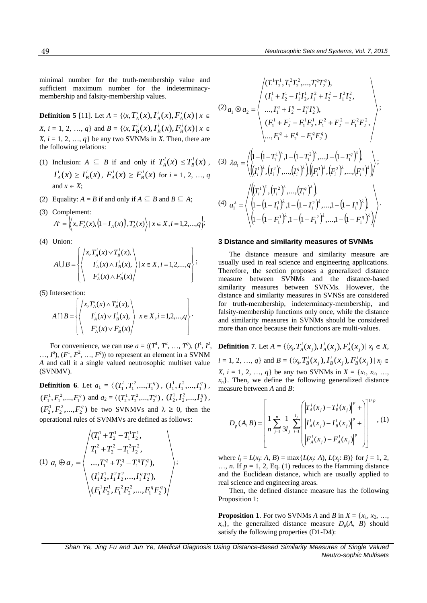minimal number for the truth-membership value and sufficient maximum number for the indeterminacymembership and falsity-membership values.

**Definition 5** [11]. Let  $A = \{ \langle x, T_A^i(x), I_A^i(x), F_A^i(x) \rangle \}$ *A i A i*  $J_A^{\prime}(x)$ ,  $J_A^{\prime}(x)$ ,  $F_A^{\prime}(x)$  |  $x \in$ *X*, *i* = 1, 2, ..., *q*} and *B* = { $\langle x, T_A^i(x), I_B^i(x), F_B^i(x) \rangle$ *B i B i*  $\int_{B}^{u}(x)$ ,  $\int_{B}^{u}(x)$ ,  $F_{B}^{u}(x)$  |  $x \in$  $X, i = 1, 2, ..., q$  be any two SVNMs in *X*. Then, there are the following relations:

- (1) Inclusion:  $A \subseteq B$  if and only if  $T_A^i(x)$  $T_A^i(x) \leq T_B^i(x)$  $\int_B^u(x)$ ,  $I^i_{\scriptscriptstyle{A}}(x)$  $I_{A}^{i}(x) \geq I_{B}^{i}(x)$  $_{B}^{i}(x)$ ,  $F_{A}^{i}(x)$  $Y_A^i(x) \geq F_B^i(x)$  $B_{B}^{i}(x)$  for  $i = 1, 2, ..., q$ and  $x \in X$ ;
- (2) Equality:  $A = B$  if and only if  $A \subseteq B$  and  $B \subseteq A$ ;
- (3) Complement: Equality:  $A = B$  if and only if  $A \subseteq B$  and  $B \subseteq A$ ;<br>
Complement:<br>  $A^c = \left\langle x, F_A^i(x), (1 - I_A(x)) \right\rangle, T_A^i(x) \right\rangle | x \in X, i = 1, 2, ..., q$ ; *i*  $A^c = \langle x, F_A^i(x), (1 - I_A(x)), T_A^i(x) \rangle \mid x \in X, i = 1, 2, ..., q \rangle;$
- (4) Union:

$$
A \cup B = \left\{ \left\langle \begin{array}{c} x, T_A^i(x) \vee T_B^i(x), \\ I_A^i(x) \wedge I_B^i(x), \\ F_A^i(x) \wedge F_B^i(x) \end{array} \right\rangle | x \in X, i = 1, 2, ..., q \right\};
$$

(5) Intersection:

$$
A \cap B = \left\{ \left\langle \begin{array}{l} x, T_A^i(x) \wedge T_B^i(x), \\ I_A^i(x) \vee I_B^i(x), \\ F_A^i(x) \vee F_B^i(x) \end{array} \right| \mid x \in X, i = 1, 2, ..., q \right\}.
$$

For convenience, we can use  $a = \langle (T^1, T^2, ..., T^q), (I^1, I^2, \dots, I^q) \rangle$  $\ldots$ ,  $I^q$ ),  $(F^1, F^2, \ldots, F^q)$  to represent an element in a SVNM *A* and call it a single valued neutrosophic multiset value (SVNMV).

**Definition 6.** Let  $a_1 = \langle (T_1^1, T_1^2, ..., T_1^q), (I_1^1, I_1^2, ..., I_1^q) \rangle$  $(F_1^1, F_1^2, ..., F_1^q)$  and  $a_2 = \langle (T_2^1, T_2^2, ..., T_2^q) , (I_2^1, I_2^2, ..., I_2^q) ,$  $(F_2^1, F_2^2, ..., F_2^q)$  be two SVNMVs and  $\lambda \geq 0$ , then the

$$
(1) \ a_1 \oplus a_2 = \begin{pmatrix} (T_1^1 + T_2^1 - T_1^1 T_2^1, \\ T_1^2 + T_2^2 - T_1^2 T_2^2, \\ \dots, T_1^q + T_2^q - T_1^q T_2^q), \\ (I_1^1 I_2^1, I_1^2 I_2^2, \dots, I_1^q I_2^q), \\ (F_1^1 F_2^1, F_1^2 F_2^2, \dots, F_1^q F_2^q) \end{pmatrix};
$$

operational rules of SVNMVs are defined as follows:

$$
(2) \, a_1 \otimes a_2 = \begin{pmatrix} (T_1^1 T_2^1, T_1^2 T_2^2, ..., T_1^q T_2^q), \\ (I_1^1 + I_2^1 - I_1^1 I_2^1, I_1^2 + I_2^2 - I_1^2 I_2^2, \\ ..., I_1^q + I_2^q - I_1^q I_2^q), \\ (F_1^1 + F_2^1 - F_1^1 F_2^1, F_1^2 + F_2^2 - F_1^2 F_2^2, \\ ..., F_1^q + F_2^q - F_1^q F_2^q) \end{pmatrix};
$$
  
\n(3) 
$$
\lambda a_1 = \begin{pmatrix} \left(1 - (1 - T_1^1)^2, 1 - (1 - T_1^2)^2, ..., 1 - (1 - T_1^q)^2\right), \\ \left(\left(r_1^1\right)^2, \left(r_1^2\right)^2, ..., \left(r_i^q\right)^q\right) \left(\left(r_i^1\right)^2, \left(r_i^2\right)^2, ..., \left(r_i^q\right)^q\right) \end{pmatrix};
$$
  
\n(4) 
$$
a_1^{\lambda} = \begin{pmatrix} \left(\left(T_1^1\right)^{\lambda}, \left(T_1^2\right)^{\lambda}, ..., \left(T_i^q\right)^q\right), \\ \left(1 - (1 - I_1^1)^{\lambda}, 1 - (1 - I_1^2)^{\lambda}, ..., 1 - (1 - I_1^q)^{\lambda}\right), \\ \left(1 - (1 - F_1^1)^{\lambda}, 1 - (1 - F_1^2)^{\lambda}, ..., 1 - (1 - F_1^q)^{\lambda}\right) \end{pmatrix}.
$$

# **3 Distance and similarity measures of SVNMs**

The distance measure and similarity measure are usually used in real science and engineering applications. Therefore, the section proposes a generalized distance measure between SVNMs and the distance-based similarity measures between SVNMs. However, the distance and similarity measures in SVNSs are considered for truth-membership, indeterminacy-membership, and falsity-membership functions only once, while the distance and similarity measures in SVNMs should be considered more than once because their functions are multi-values.

**Definition 7.** Let  $A = \{ \langle x_j, T_A^i(x_j), I_A^i(x_j), F_A^i(x_j) | x_j \in X, \}$  $i = 1, 2, ..., q$  and  $B = \{\langle x_j, T_B^i(x_j), I_B^i(x_j), F_B^i(x_j)\rangle\}$ *i*  $j$ <sup> $\prime$ </sup>,  $F_B$ *i Bj i*  $T_B^i(x_j), I_B^i(x_j), F_B^i(x_j) | x_j \in$ *X*,  $i = 1, 2, ..., q$  be any two SVNMs in  $X = \{x_1, x_2, ..., x_n\}$  $x_n$ }. Then, we define the following generalized distance measure between *A* and *B*:

$$
D_{p}(A,B) = \left[ \frac{1}{n} \sum_{j=1}^{n} \frac{1}{3l_{j}} \sum_{i=1}^{l_{j}} \left\| \frac{T_{A}^{i}(x_{j}) - T_{B}^{i}(x_{j}) \right|^{p} + \left\| \frac{1}{n} \sum_{j=1}^{n} (T_{A}^{i}(x_{j}) - T_{A}^{i}(x_{j}) \right\|^{p} + \left\| \frac{1}{n} \sum_{j=1}^{n} (T_{A}^{i}(x_{j}) - T_{A}^{i}(x_{j}) \right\|^{p} \right\} \right]^{1/p},
$$

where  $l_j = L(x_j; A, B) = \max\{L(x_j; A), L(x_j; B)\}$  for  $j = 1, 2$ ,  $..., n$ . If  $p = 1, 2, Eq. (1)$  reduces to the Hamming distance and the Euclidean distance, which are usually applied to real science and engineering areas.

Then, the defined distance measure has the following Proposition 1:

**Proposition 1.** For two SVNMs *A* and *B* in  $X = \{x_1, x_2, \ldots, x_n\}$  $x_n$ }, the generalized distance measure  $D_p(A, B)$  should satisfy the following properties (D1-D4):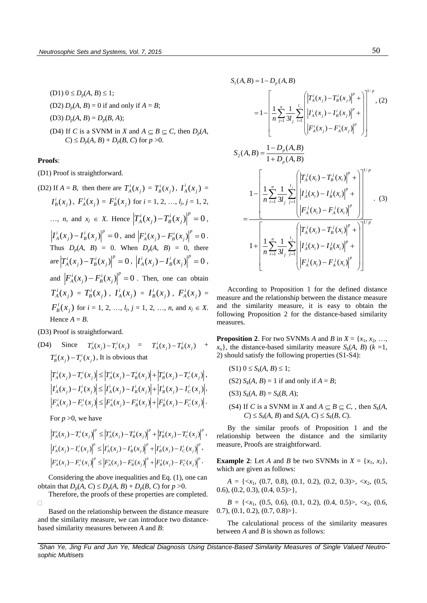$(D1)$   $0 \le D_p(A, B) \le 1$ ;

(D2)  $D_p(A, B) = 0$  if and only if  $A = B$ ;

- $(D3) D<sub>p</sub>(A, B) = D<sub>p</sub>(B, A);$
- (D4) If *C* is a SVNM in *X* and  $A \subseteq B \subseteq C$ , then  $D_p(A,$  $C \le D_p(A, B) + D_p(B, C)$  for  $p > 0$ .

# **Proofs**:

(D1) Proof is straightforward.

- (D2) If  $A = B$ , then there are  $T_A^i(x_j) = T_B^i(x_j)$ ,  $I_A^i(x_j)$ *i*  $I_A^i(x_j) =$  $I^i_B(x_j)$ ,  $F^i_A(x_j) = F^i_B(x_j)$  for  $i = 1, 2, ..., l_j$ ,  $j = 1, 2, ...$ ..., *n*, and  $x_j \in X$ . Hence  $|T_A^i(x_j) - T_B^i(x_j)|^p = 0$ *j i Bj i*  $T_A^i(x_j) - T_B^i(x_j)$ <sup>r</sup> = 0,  $(x_i) - I_B^i(x_i)^p = 0$  $I_A^i(x_j) - I_B^i(x_j) \Big|^p = 0$ , and  $|F_A^i(x_j) - F_B^i(x_j)|^p = 0$  $F_A^i(x_j) - F_B^i(x_j)\bigg|^{p} = 0$ . Thus  $D_p(A, B) = 0$ . When  $D_p(A, B) = 0$ , there are  $|T_{A}^{i}(x_i) - T_{B}^{i}(x_i)|^{p} = 0$ *j i*  $\iota$ <sup>*j*</sup>  $\iota$ </sup> *i*  $T_A^i(x_j) - T_B^i(x_j) \Big|^p = 0$ ,  $\left| I_A^i(x_j) - I_B^i(x_j) \right|^p = 0$ *j i Bj i*  $I_A^i(x_j) - I_B^i(x_j)\bigg|^r = 0$ , and  $|F_{A}^{i}(x_i) - F_{B}^{i}(x_i)|^{p} = 0$ *j i*  $\mathbf{y}$   $\mathbf{r}_B$ *i*  $F_A^i(x_j) - F_B^i(x_j)\bigg|^{p} = 0$ . Then, one can obtain  $(x_j)$ *i*  $T_A^i(x_j) = T_B^i(x_j)$ *i*  $T^i_B(x_j)$  ,  $I^i_A(x_j)$ *i*  $I_A^i(x_j) = I_B^i(x_j)$ *i*  $I_B^i(x_j)$ ,  $F_A^i(x_j)$  $F_A^i(x_j) =$  $\frac{i}{3}(x_j)$  $F_B^i(x_j)$  for  $i = 1, 2, ..., l_j, j = 1, 2, ..., n$ , and  $x_j \in X$ . Hence  $A = B$ .
- (D3) Proof is straightforward.
- (D4) Since  $T_A^i(x_j) T_c^i(x_j) = T_A^i(x_j) T_B^i(x_j) + T_A^i(x_j)$  $T^i_B(x_j) - T^i_c(x_j)$ , It is obvious that

$$
\left| T_A^i(x_j) - T_c^i(x_j) \right| \leq \left| T_A^i(x_j) - T_B^i(x_j) \right| + \left| T_B^i(x_j) - T_C^i(x_j) \right|,
$$
\n
$$
\left| I_A^i(x_j) - I_c^i(x_j) \right| \leq \left| I_A^i(x_j) - I_B^i(x_j) \right| + \left| I_B^i(x_j) - I_C^i(x_j) \right|,
$$
\n
$$
\left| F_A^i(x_j) - F_c^i(x_j) \right| \leq \left| F_A^i(x_j) - F_B^i(x_j) \right| + \left| F_B^i(x_j) - F_C^i(x_j) \right|.
$$

For  $p > 0$ , we have

$$
\left|T_A^i(x_j) - T_c^i(x_j)\right|^p \le \left|T_A^i(x_j) - T_B^i(x_j)\right|^p + \left|T_B^i(x_j) - T_C^i(x_j)\right|^p,
$$
\n
$$
\left|I_A^i(x_j) - I_c^i(x_j)\right|^p \le \left|I_A^i(x_j) - I_B^i(x_j)\right|^p + \left|I_B^i(x_j) - I_C^i(x_j)\right|^p,
$$
\n
$$
\left|F_A^i(x_j) - F_c^i(x_j)\right|^p \le \left|F_A^i(x_j) - F_B^i(x_j)\right|^p + \left|F_B^i(x_j) - F_C^i(x_j)\right|^p.
$$

Considering the above inequalities and Eq. (1), one can obtain that  $D_p(A, C) \le D_p(A, B) + D_p(B, C)$  for  $p > 0$ .

Therefore, the proofs of these properties are completed.  $\Box$ 

Based on the relationship between the distance measure and the similarity measure, we can introduce two distancebased similarity measures between *A* and *B*:

$$
S_{1}(A,B) = 1 - D_{p}(A,B)
$$
\n
$$
= 1 - \left[ \frac{1}{n} \sum_{j=1}^{n} \frac{1}{3l_{j}} \sum_{i=1}^{l_{j}} \left| \left| I_{A}^{i}(x_{j}) - I_{B}^{i}(x_{j}) \right|^{p} + \right| \right]^{1/p}, (2)
$$
\n
$$
S_{2}(A,B) = \frac{1 - D_{p}(A,B)}{1 + D_{p}(A,B)}
$$
\n
$$
I - \left[ \frac{1}{n} \sum_{i=1}^{n} \frac{1}{3l_{j}} \sum_{j=1}^{l_{j}} \left| \left| I_{A}^{j}(x_{i}) - I_{B}^{j}(x_{i}) \right|^{p} + \right| \right]^{1/p}
$$
\n
$$
I - \left[ \frac{1}{n} \sum_{i=1}^{n} \frac{1}{3l_{j}} \sum_{j=1}^{l_{j}} \left| \left| I_{A}^{j}(x_{i}) - I_{B}^{j}(x_{i}) \right|^{p} + \right| \right]^{1/p}
$$
\n
$$
I + \left[ \frac{1}{n} \sum_{i=1}^{n} \frac{1}{3l_{j}} \sum_{j=1}^{l_{j}} \left| \left| I_{A}^{j}(x_{i}) - I_{B}^{j}(x_{i}) \right|^{p} + \right| \right]^{1/p}
$$
\n
$$
I + \left[ \frac{1}{n} \sum_{i=1}^{n} \frac{1}{3l_{j}} \sum_{j=1}^{l_{j}} \left| \left| I_{A}^{j}(x_{i}) - I_{B}^{j}(x_{i}) \right|^{p} + \right| \right]^{1/p}
$$

According to Proposition 1 for the defined distance measure and the relationship between the distance measure and the similarity measure, it is easy to obtain the following Proposition 2 for the distance-based similarity measures.

**Proposition 2.** For two SVNMs *A* and *B* in  $X = \{x_1, x_2, \ldots, x_n\}$  $x_n$ }, the distance-based similarity measure  $S_k(A, B)$  ( $k = 1$ , 2) should satisfy the following properties (S1-S4):

 $(S1)$   $0 \le S_k(A, B) \le 1$ ;  $(S2) S_k(A, B) = 1$  if and only if  $A = B$ ;  $(S3) S_k(A, B) = S_k(B, A);$ (S4) If *C* is a SVNM in *X* and  $A \subseteq B \subseteq C$ , then  $S_k(A,$  $C \le S_k(A, B)$  and  $S_k(A, C) \le S_k(B, C)$ .

By the similar proofs of Proposition 1 and the relationship between the distance and the similarity measure, Proofs are straightforward.

**Example 2**: Let *A* and *B* be two SVNMs in  $X = \{x_1, x_2\}$ , which are given as follows:

 $A = \{ \langle x_1, (0.7, 0.8), (0.1, 0.2), (0.2, 0.3) \rangle, \langle x_2, (0.5,$ 0.6),  $(0.2, 0.3)$ ,  $(0.4, 0.5)$ ,

*B* = { $\langle x_1, (0.5, 0.6), (0.1, 0.2), (0.4, 0.5) \rangle$ ,  $\langle x_2, (0.6, 0.5), (0.6, 0.5) \rangle$ 0.7),  $(0.1, 0.2)$ ,  $(0.7, 0.8)$ .

The calculational process of the similarity measures between *A* and *B* is shown as follows: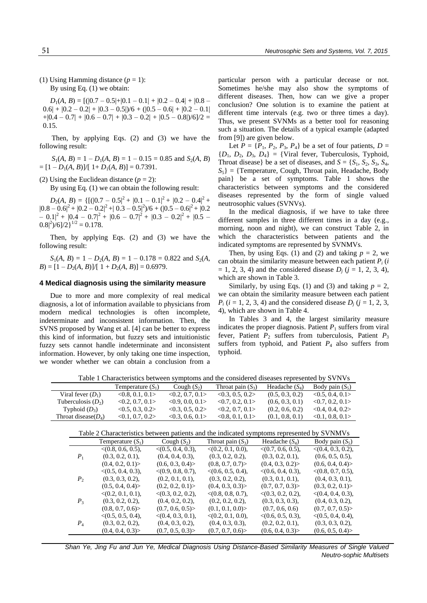(1) Using Hamming distance  $(p = 1)$ : By using Eq. (1) we obtain:

 $D_1(A, B) = [(10.7 - 0.5] + 10.1 - 0.1] + 10.2 - 0.4] + 10.8 - 10.6$  $0.6| + |0.2 - 0.2| + |0.3 - 0.5|$  $/6 + (|0.5 - 0.6| + |0.2 - 0.1|)$  $+|0.4 - 0.7| + |0.6 - 0.7| + |0.3 - 0.2| + |0.5 - 0.8|$ /6]/2 = 0.15.

Then, by applying Eqs. (2) and (3) we have the following result:

 $S_1(A, B) = 1 - D_1(A, B) = 1 - 0.15 = 0.85$  and  $S_2(A, B)$  $=[1 - D<sub>1</sub>(A, B)]/[1 + D<sub>1</sub>(A, B)] = 0.7391.$ 

(2) Using the Euclidean distance  $(p = 2)$ :

By using Eq. (1) we can obtain the following result:

 $D_2(A, B) = \{[(|0.7 - 0.5|^2 + |0.1 - 0.1|^2 + |0.2 - 0.4|^2 +$  $|0.8 - 0.6|^2 + |0.2 - 0.2|^2 + |0.3 - 0.5|^2)/6 + (|0.5 - 0.6|^2 + |0.2 - 0.6|^2)$  $- 0.1$ |<sup>2</sup> +  $|0.4 - 0.7$ |<sup>2</sup> +  $|0.6 - 0.7$ |<sup>2</sup> +  $|0.3 - 0.2$ |<sup>2</sup> +  $|0.5 0.8|^2$ )/6]/2}<sup>1/2</sup> = 0.178.

Then, by applying Eqs. (2) and (3) we have the following result:

 $S_1(A, B) = 1 - D_2(A, B) = 1 - 0.178 = 0.822$  and  $S_2(A, B) = 1 - D_2(A, B) = 1 - 0.178 = 0.822$  $B$ ) =  $[1 - D_2(A, B)]/[1 + D_2(A, B)] = 0.6979$ .

## **4 Medical diagnosis using the similarity measure**

Due to more and more complexity of real medical diagnosis, a lot of information available to physicians from modern medical technologies is often incomplete, indeterminate and inconsistent information. Then, the SVNS proposed by Wang et al. [4] can be better to express this kind of information, but fuzzy sets and intuitionistic fuzzy sets cannot handle indeterminate and inconsistent information. However, by only taking one time inspection, we wonder whether we can obtain a conclusion from a

particular person with a particular decease or not. Sometimes he/she may also show the symptoms of different diseases. Then, how can we give a proper conclusion? One solution is to examine the patient at different time intervals (e.g. two or three times a day). Thus, we present SVNMs as a better tool for reasoning such a situation. The details of a typical example (adapted from [9]) are given below.

Let  $P = \{P_1, P_2, P_3, P_4\}$  be a set of four patients,  $D =$  ${D_1, D_2, D_3, D_4}$  = {Viral fever, Tuberculosis, Typhoid, Throat disease} be a set of diseases, and  $S = \{S_1, S_2, S_3, S_4,$  $S_5$  = {Temperature, Cough, Throat pain, Headache, Body pain} be a set of symptoms. Table 1 shows the characteristics between symptoms and the considered diseases represented by the form of single valued neutrosophic values (SVNVs).

In the medical diagnosis, if we have to take three different samples in three different times in a day (e.g., morning, noon and night), we can construct Table 2, in which the characteristics between patients and the indicated symptoms are represented by SVNMVs.

Then, by using Eqs. (1) and (2) and taking  $p = 2$ , we can obtain the similarity measure between each patient  $P_i$  (*i*  $= 1, 2, 3, 4$  and the considered disease  $D_j$  ( $j = 1, 2, 3, 4$ ), which are shown in Table 3.

Similarly, by using Eqs. (1) and (3) and taking  $p = 2$ , we can obtain the similarity measure between each patient  $P_i$  (*i* = 1, 2, 3, 4) and the considered disease  $D_j$  (*j* = 1, 2, 3, 4), which are shown in Table 4.

In Tables 3 and 4, the largest similarity measure indicates the proper diagnosis. Patient  $P_1$  suffers from viral fever, Patient  $P_2$  suffers from tuberculosis, Patient  $P_3$ suffers from typhoid, and Patient  $P_4$  also suffers from typhoid.

Table 1 Characteristics between symptoms and the considered diseases represented by SVNVs

| Tuble T Characteristics between symptoms and the considered diseases represented by B +1++s |                     |                 |                     |                  |                       |
|---------------------------------------------------------------------------------------------|---------------------|-----------------|---------------------|------------------|-----------------------|
|                                                                                             | Temperature $(S_1)$ | Cough $(S_2)$   | Throat pain $(S_3)$ | Headache $(S_4)$ | Body pain $(S_5)$     |
| Viral fever $(D_1)$                                                                         | <0.8, 0.1, 0.1>     | <0.2, 0.7, 0.1> | < 0.3, 0.5, 0.2     | (0.5, 0.3, 0.2)  | <0.5, 0.4, 0.1>       |
| Tuberculosis $(D_2)$                                                                        | <0.2, 0.7, 0.1>     | <0.9, 0.0, 0.1> | <0.7, 0.2, 0.1>     | (0.6, 0.3, 0.1)  | <0.7, 0.2, 0.1>       |
| Typhoid $(D_3)$                                                                             | <0.5, 0.3, 0.2>     | < 0.3, 0.5, 0.2 | <0.2, 0.7, 0.1>     | (0.2, 0.6, 0.2)  | $<$ 0.4, 0.4, 0.2 $>$ |
| Throat disease $(D_4)$                                                                      | <0.1, 0.7, 0.2>     | <0.3, 0.6, 0.1> | <0.8, 0.1, 0.1>     | (0.1, 0.8, 0.1)  | <0.1, 0.8, 0.1>       |
|                                                                                             |                     |                 |                     |                  |                       |

| Table 2 Characteristics between patients and the indicated symptoms represented by SVNMVs |                            |                            |                            |                            |                            |
|-------------------------------------------------------------------------------------------|----------------------------|----------------------------|----------------------------|----------------------------|----------------------------|
|                                                                                           | Temperature $(S_1)$        | Cough $(S_2)$              | Throat pain $(S_3)$        | Headache $(S_4)$           | Body pain $(S_5)$          |
| $P_1$                                                                                     | $\langle (0.8, 0.6, 0.5),$ | $\langle (0.5, 0.4, 0.3),$ | $\langle (0.2, 0.1, 0.0),$ | $\langle (0.7, 0.6, 0.5),$ | $\langle (0.4, 0.3, 0.2),$ |
|                                                                                           | (0.3, 0.2, 0.1),           | (0.4, 0.4, 0.3),           | $(0.3, 0.2, 0.2)$ ,        | (0.3, 0.2, 0.1),           | (0.6, 0.5, 0.5),           |
|                                                                                           | (0.4, 0.2, 0.1)            | (0.6, 0.3, 0.4)            | (0.8, 0.7, 0.7)            | (0.4, 0.3, 0.2)            | (0.6, 0.4, 0.4)            |
| $P_{2}$                                                                                   | $\langle (0.5, 0.4, 0.3),$ | $\langle (0.9, 0.8, 0.7),$ | $\leq$ (0.6, 0.5, 0.4),    | $\leq$ (0.6, 0.4, 0.3),    | $\langle (0.8, 0.7, 0.5),$ |
|                                                                                           | (0.3, 0.3, 0.2),           | $(0.2, 0.1, 0.1)$ ,        | $(0.3, 0.2, 0.2)$ ,        | $(0.3, 0.1, 0.1)$ ,        | (0.4, 0.3, 0.1),           |
|                                                                                           | (0.5, 0.4, 0.4)            | (0.2, 0.2, 0.1)            | (0.4, 0.3, 0.3)            | (0.7, 0.7, 0.3)            | (0.3, 0.2, 0.1)            |
|                                                                                           | $\langle (0.2, 0.1, 0.1),$ | $\langle (0.3, 0.2, 0.2),$ | $\langle (0.8, 0.8, 0.7),$ | $\langle (0.3, 0.2, 0.2),$ | $\langle (0.4, 0.4, 0.3),$ |
| $P_3$                                                                                     | $(0.3, 0.2, 0.2)$ ,        | (0.4, 0.2, 0.2),           | $(0.2, 0.2, 0.2)$ ,        | $(0.3, 0.3, 0.3)$ ,        | (0.4, 0.3, 0.2),           |
|                                                                                           | (0.8, 0.7, 0.6)            | (0.7, 0.6, 0.5)            | (0.1, 0.1, 0.0)            | (0.7, 0.6, 0.6)            | (0.7, 0.7, 0.5)            |
| $P_{4}$                                                                                   | $\langle (0.5, 0.5, 0.4),$ | $\langle (0.4, 0.3, 0.1),$ | $\langle (0.2, 0.1, 0.0),$ | $\langle (0.6, 0.5, 0.3),$ | $\langle (0.5, 0.4, 0.4),$ |
|                                                                                           | $(0.3, 0.2, 0.2)$ ,        | (0.4, 0.3, 0.2),           | (0.4, 0.3, 0.3),           | (0.2, 0.2, 0.1),           | (0.3, 0.3, 0.2),           |
|                                                                                           | (0.4, 0.4, 0.3)            | (0.7, 0.5, 0.3)            | (0.7, 0.7, 0.6)            | (0.6, 0.4, 0.3)            | (0.6, 0.5, 0.4)            |